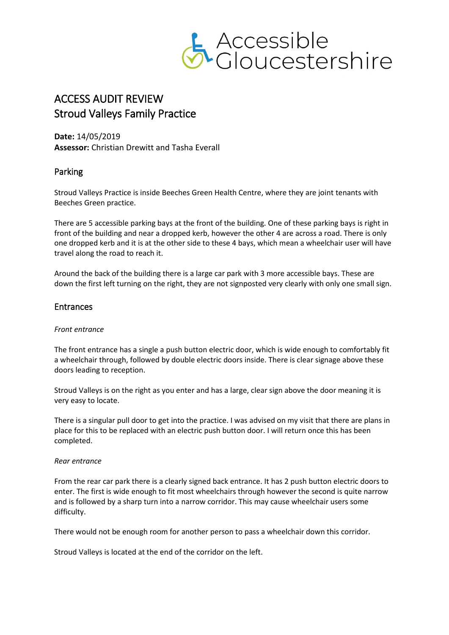

# ACCESS AUDIT REVIEW Stroud Valleys Family Practice

**Date:** 14/05/2019 **Assessor:** Christian Drewitt and Tasha Everall

## Parking

Stroud Valleys Practice is inside Beeches Green Health Centre, where they are joint tenants with Beeches Green practice.

There are 5 accessible parking bays at the front of the building. One of these parking bays is right in front of the building and near a dropped kerb, however the other 4 are across a road. There is only one dropped kerb and it is at the other side to these 4 bays, which mean a wheelchair user will have travel along the road to reach it.

Around the back of the building there is a large car park with 3 more accessible bays. These are down the first left turning on the right, they are not signposted very clearly with only one small sign.

### Entrances

#### *Front entrance*

The front entrance has a single a push button electric door, which is wide enough to comfortably fit a wheelchair through, followed by double electric doors inside. There is clear signage above these doors leading to reception.

Stroud Valleys is on the right as you enter and has a large, clear sign above the door meaning it is very easy to locate.

There is a singular pull door to get into the practice. I was advised on my visit that there are plans in place for this to be replaced with an electric push button door. I will return once this has been completed.

#### *Rear entrance*

From the rear car park there is a clearly signed back entrance. It has 2 push button electric doors to enter. The first is wide enough to fit most wheelchairs through however the second is quite narrow and is followed by a sharp turn into a narrow corridor. This may cause wheelchair users some difficulty.

There would not be enough room for another person to pass a wheelchair down this corridor.

Stroud Valleys is located at the end of the corridor on the left.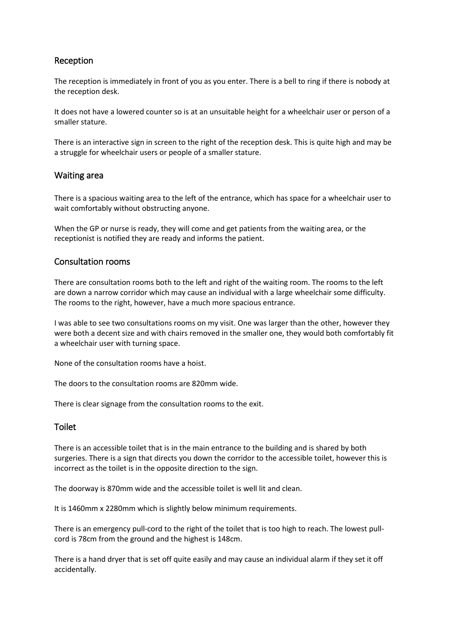# Reception

The reception is immediately in front of you as you enter. There is a bell to ring if there is nobody at the reception desk.

It does not have a lowered counter so is at an unsuitable height for a wheelchair user or person of a smaller stature.

There is an interactive sign in screen to the right of the reception desk. This is quite high and may be a struggle for wheelchair users or people of a smaller stature.

### Waiting area

There is a spacious waiting area to the left of the entrance, which has space for a wheelchair user to wait comfortably without obstructing anyone.

When the GP or nurse is ready, they will come and get patients from the waiting area, or the receptionist is notified they are ready and informs the patient.

#### Consultation rooms

There are consultation rooms both to the left and right of the waiting room. The rooms to the left are down a narrow corridor which may cause an individual with a large wheelchair some difficulty. The rooms to the right, however, have a much more spacious entrance.

I was able to see two consultations rooms on my visit. One was larger than the other, however they were both a decent size and with chairs removed in the smaller one, they would both comfortably fit a wheelchair user with turning space.

None of the consultation rooms have a hoist.

The doors to the consultation rooms are 820mm wide.

There is clear signage from the consultation rooms to the exit.

### Toilet

There is an accessible toilet that is in the main entrance to the building and is shared by both surgeries. There is a sign that directs you down the corridor to the accessible toilet, however this is incorrect as the toilet is in the opposite direction to the sign.

The doorway is 870mm wide and the accessible toilet is well lit and clean.

It is 1460mm x 2280mm which is slightly below minimum requirements.

There is an emergency pull-cord to the right of the toilet that is too high to reach. The lowest pullcord is 78cm from the ground and the highest is 148cm.

There is a hand dryer that is set off quite easily and may cause an individual alarm if they set it off accidentally.